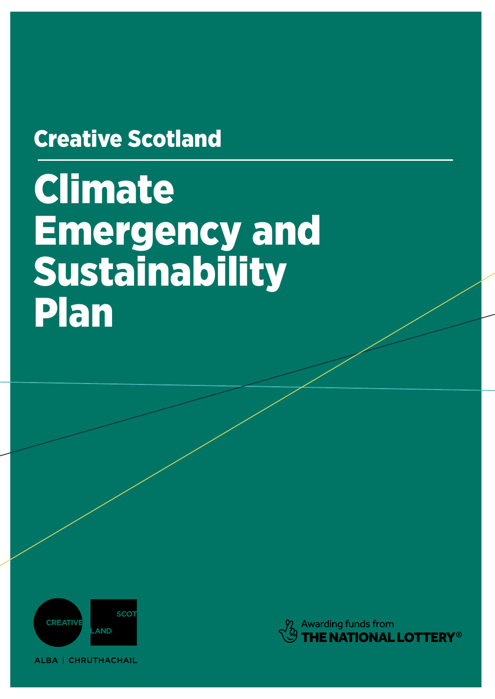# Creative Scotland

# Climate Emergency and Sustainability Plan



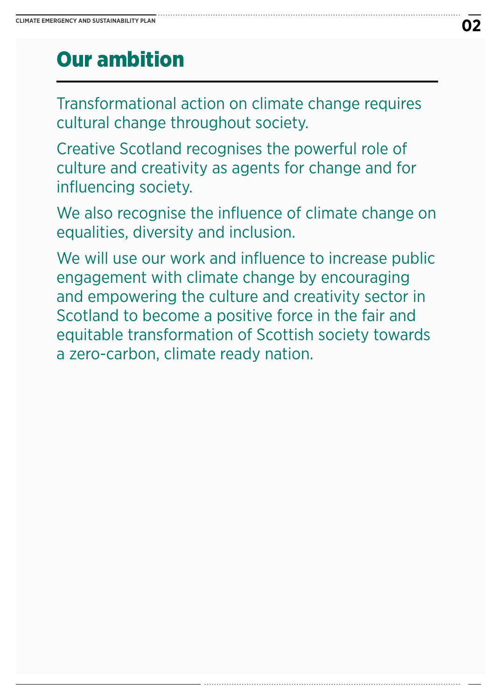### Our ambition

Transformational action on climate change requires cultural change throughout society.

Creative Scotland recognises the powerful role of culture and creativity as agents for change and for influencing society.

We also recognise the influence of climate change on equalities, diversity and inclusion.

We will use our work and influence to increase public engagement with climate change by encouraging and empowering the culture and creativity sector in Scotland to become a positive force in the fair and equitable transformation of Scottish society towards a zero-carbon, climate ready nation.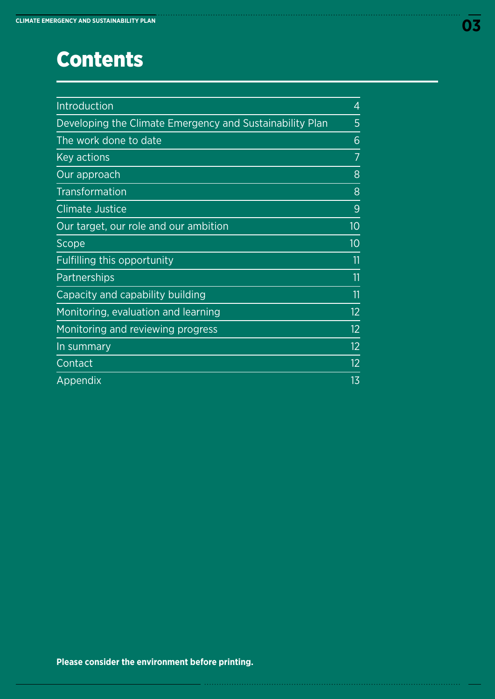### **Contents**

| Introduction                                             | 4  |
|----------------------------------------------------------|----|
| Developing the Climate Emergency and Sustainability Plan | 5  |
| The work done to date                                    | 6  |
| Key actions                                              |    |
| Our approach                                             | 8  |
| <b>Transformation</b>                                    | 8  |
| <b>Climate Justice</b>                                   | 9  |
| Our target, our role and our ambition                    | 10 |
| Scope                                                    | 10 |
| Fulfilling this opportunity                              | 11 |
| Partnerships                                             | 11 |
| Capacity and capability building                         | 11 |
| Monitoring, evaluation and learning                      | 12 |
| Monitoring and reviewing progress                        | 12 |
| In summary                                               | 12 |
| Contact                                                  | 12 |
| Appendix                                                 | 13 |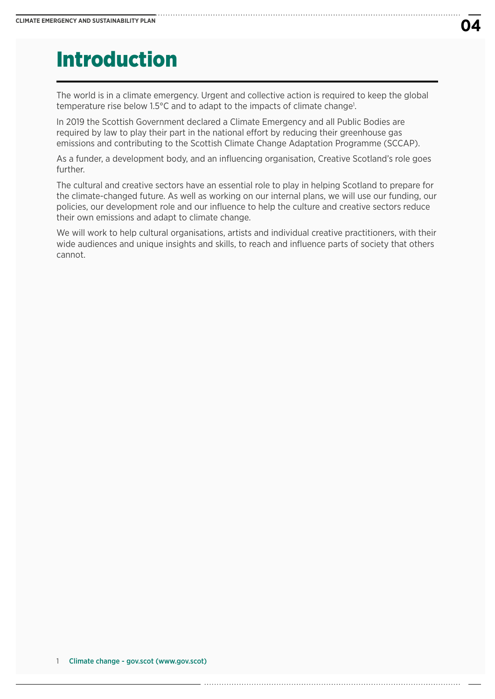### Introduction

The world is in a climate emergency. Urgent and collective action is required to keep the global temperature rise below 1.5°C and to adapt to the impacts of climate change<sup>1</sup>.

In 2019 the Scottish Government declared a Climate Emergency and all Public Bodies are required by law to play their part in the national effort by reducing their greenhouse gas emissions and contributing to the Scottish Climate Change Adaptation Programme (SCCAP).

As a funder, a development body, and an influencing organisation, Creative Scotland's role goes further.

The cultural and creative sectors have an essential role to play in helping Scotland to prepare for the climate-changed future. As well as working on our internal plans, we will use our funding, our policies, our development role and our influence to help the culture and creative sectors reduce their own emissions and adapt to climate change.

We will work to help cultural organisations, artists and individual creative practitioners, with their wide audiences and unique insights and skills, to reach and influence parts of society that others cannot.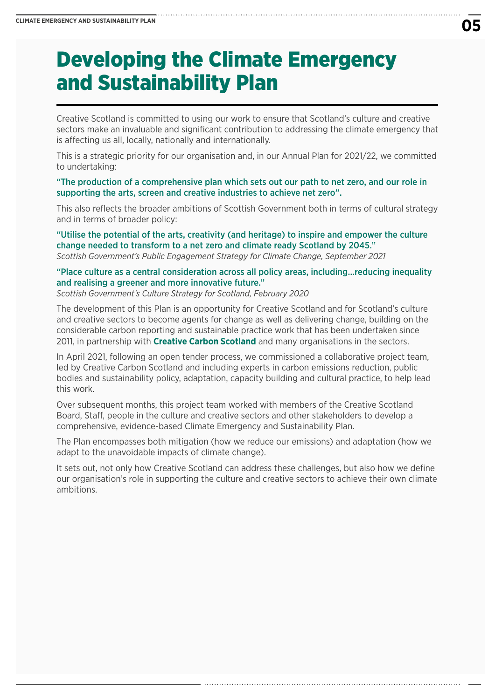### Developing the Climate Emergency and Sustainability Plan

Creative Scotland is committed to using our work to ensure that Scotland's culture and creative sectors make an invaluable and significant contribution to addressing the climate emergency that is affecting us all, locally, nationally and internationally.

This is a strategic priority for our organisation and, in our Annual Plan for 2021/22, we committed to undertaking:

"The production of a comprehensive plan which sets out our path to net zero, and our role in supporting the arts, screen and creative industries to achieve net zero".

This also reflects the broader ambitions of Scottish Government both in terms of cultural strategy and in terms of broader policy:

"Utilise the potential of the arts, creativity (and heritage) to inspire and empower the culture change needed to transform to a net zero and climate ready Scotland by 2045." *Scottish Government's Public Engagement Strategy for Climate Change, September 2021*

"Place culture as a central consideration across all policy areas, including…reducing inequality and realising a greener and more innovative future."

*Scottish Government's Culture Strategy for Scotland, February 2020*

The development of this Plan is an opportunity for Creative Scotland and for Scotland's culture and creative sectors to become agents for change as well as delivering change, building on the considerable carbon reporting and sustainable practice work that has been undertaken since 2011, in partnership with **[Creative Carbon Scotland](https://www.creativecarbonscotland.com/)** and many organisations in the sectors.

In April 2021, following an open tender process, we commissioned a collaborative project team, led by Creative Carbon Scotland and including experts in carbon emissions reduction, public bodies and sustainability policy, adaptation, capacity building and cultural practice, to help lead this work.

Over subsequent months, this project team worked with members of the Creative Scotland Board, Staff, people in the culture and creative sectors and other stakeholders to develop a comprehensive, evidence-based Climate Emergency and Sustainability Plan.

The Plan encompasses both mitigation (how we reduce our emissions) and adaptation (how we adapt to the unavoidable impacts of climate change).

It sets out, not only how Creative Scotland can address these challenges, but also how we define our organisation's role in supporting the culture and creative sectors to achieve their own climate ambitions.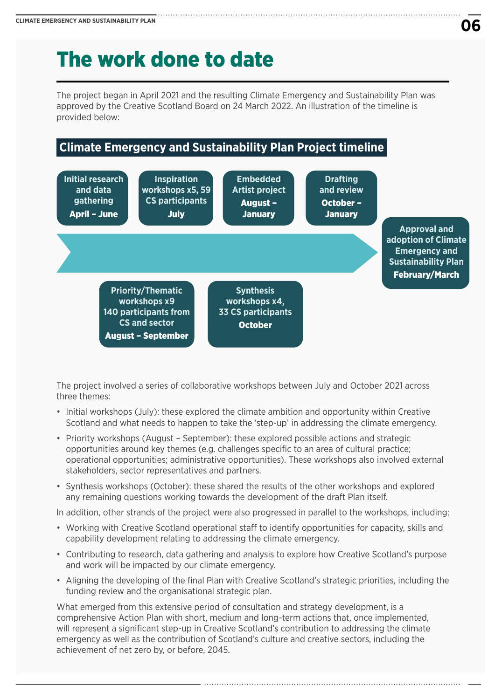### The work done to date

The project began in April 2021 and the resulting Climate Emergency and Sustainability Plan was approved by the Creative Scotland Board on 24 March 2022. An illustration of the timeline is provided below:

### **Climate Emergency and Sustainability Plan Project timeline**



The project involved a series of collaborative workshops between July and October 2021 across three themes:

- Initial workshops (July): these explored the climate ambition and opportunity within Creative Scotland and what needs to happen to take the 'step-up' in addressing the climate emergency.
- Priority workshops (August September): these explored possible actions and strategic opportunities around key themes (e.g. challenges specific to an area of cultural practice; operational opportunities; administrative opportunities). These workshops also involved external stakeholders, sector representatives and partners.
- Synthesis workshops (October): these shared the results of the other workshops and explored any remaining questions working towards the development of the draft Plan itself.

In addition, other strands of the project were also progressed in parallel to the workshops, including:

- Working with Creative Scotland operational staff to identify opportunities for capacity, skills and capability development relating to addressing the climate emergency.
- Contributing to research, data gathering and analysis to explore how Creative Scotland's purpose and work will be impacted by our climate emergency.
- Aligning the developing of the final Plan with Creative Scotland's strategic priorities, including the funding review and the organisational strategic plan.

What emerged from this extensive period of consultation and strategy development, is a comprehensive Action Plan with short, medium and long-term actions that, once implemented, will represent a significant step-up in Creative Scotland's contribution to addressing the climate emergency as well as the contribution of Scotland's culture and creative sectors, including the achievement of net zero by, or before, 2045.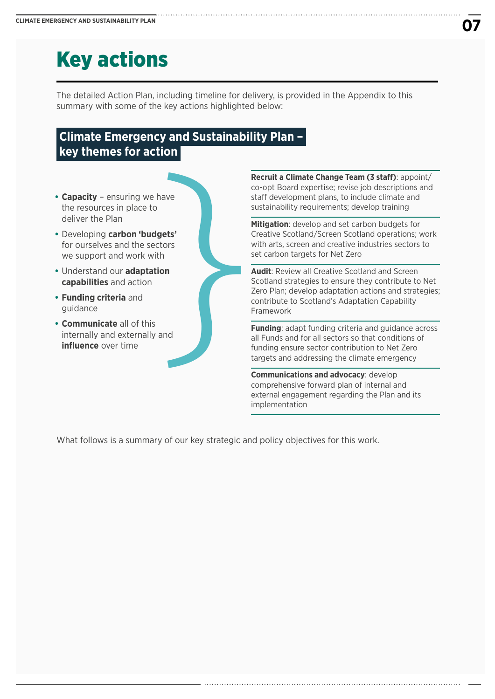# Key actions

The detailed Action Plan, including timeline for delivery, is provided in the Appendix to this summary with some of the key actions highlighted below:

### **Climate Emergency and Sustainability Plan – key themes for action**

- **• Capacity** ensuring we have the resources in place to deliver the Plan **Capacity** – ensuring we have<br>the resources in place to<br>deliver the Plan<br>Developing **carbon 'budgets'**<br>for ourselves and the sectors<br>we support and work with<br>Understand our **adaptation**<br>**capabilities** and action<br>**Funding c**
- **•** Developing **carbon 'budgets'** for ourselves and the sectors we support and work with
- **•** Understand our **adaptation capabilities** and action
- **• Funding criteria** and guidance
- **• Communicate** all of this internally and externally and

**Recruit a Climate Change Team (3 staff)**: appoint/ co-opt Board expertise; revise job descriptions and staff development plans, to include climate and sustainability requirements; develop training

**Mitigation**: develop and set carbon budgets for Creative Scotland/Screen Scotland operations; work with arts, screen and creative industries sectors to set carbon targets for Net Zero

**Audit**: Review all Creative Scotland and Screen Scotland strategies to ensure they contribute to Net Zero Plan; develop adaptation actions and strategies; contribute to Scotland's Adaptation Capability Framework

**Funding**: adapt funding criteria and guidance across all Funds and for all sectors so that conditions of funding ensure sector contribution to Net Zero targets and addressing the climate emergency

**Communications and advocacy**: develop comprehensive forward plan of internal and external engagement regarding the Plan and its implementation

What follows is a summary of our key strategic and policy objectives for this work.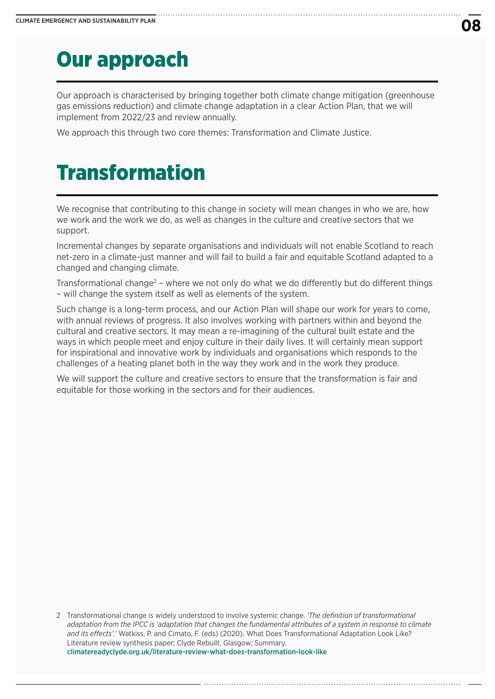### Our approach

Our approach is characterised by bringing together both climate change mitigation (greenhouse gas emissions reduction) and climate change adaptation in a clear Action Plan, that we will implement from 2022/23 and review annually.

We approach this through two core themes: Transformation and Climate Justice.

### Transformation

We recognise that contributing to this change in society will mean changes in who we are, how we work and the work we do, as well as changes in the culture and creative sectors that we support.

Incremental changes by separate organisations and individuals will not enable Scotland to reach net-zero in a climate-just manner and will fail to build a fair and equitable Scotland adapted to a changed and changing climate.

Transformational change<sup>2</sup> – where we not only do what we do differently but do different things – will change the system itself as well as elements of the system.

Such change is a long-term process, and our Action Plan will shape our work for years to come, with annual reviews of progress. It also involves working with partners within and beyond the cultural and creative sectors. It may mean a re-imagining of the cultural built estate and the ways in which people meet and enjoy culture in their daily lives. It will certainly mean support for inspirational and innovative work by individuals and organisations which responds to the challenges of a heating planet both in the way they work and in the work they produce.

We will support the culture and creative sectors to ensure that the transformation is fair and equitable for those working in the sectors and for their audiences.

2 Transformational change is widely understood to involve systemic change. *'The definition of transformational adaptation from the IPCC is 'adaptation that changes the fundamental attributes of a system in response to climate and its effects'.'* Watkiss, P. and Cimato, F. (eds) (2020). What Does Transformational Adaptation Look Like? Literature review synthesis paper; Clyde Rebuilt, Glasgow; Summary. [climatereadyclyde.org.uk/literature-review-what-does-transformation-look-like](http://climatereadyclyde.org.uk/literature-review-what-does-transformation-look-like/)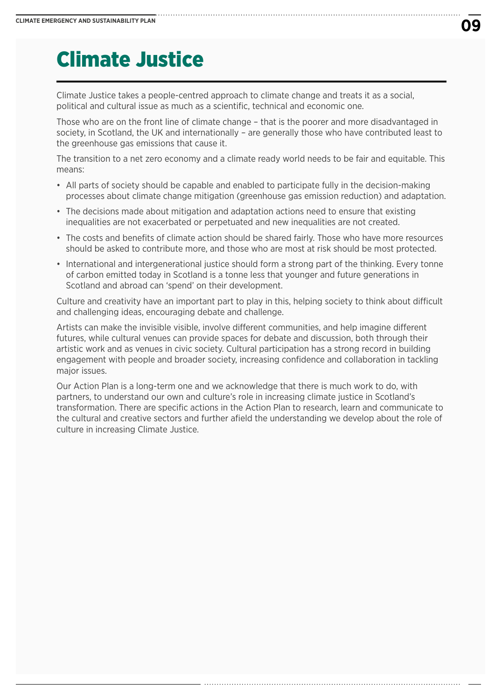# Climate Justice

Climate Justice takes a people-centred approach to climate change and treats it as a social, political and cultural issue as much as a scientific, technical and economic one.

Those who are on the front line of climate change – that is the poorer and more disadvantaged in society, in Scotland, the UK and internationally – are generally those who have contributed least to the greenhouse gas emissions that cause it.

The transition to a net zero economy and a climate ready world needs to be fair and equitable. This means:

- All parts of society should be capable and enabled to participate fully in the decision-making processes about climate change mitigation (greenhouse gas emission reduction) and adaptation.
- The decisions made about mitigation and adaptation actions need to ensure that existing inequalities are not exacerbated or perpetuated and new inequalities are not created.
- The costs and benefits of climate action should be shared fairly. Those who have more resources should be asked to contribute more, and those who are most at risk should be most protected.
- International and intergenerational justice should form a strong part of the thinking. Every tonne of carbon emitted today in Scotland is a tonne less that younger and future generations in Scotland and abroad can 'spend' on their development.

Culture and creativity have an important part to play in this, helping society to think about difficult and challenging ideas, encouraging debate and challenge.

Artists can make the invisible visible, involve different communities, and help imagine different futures, while cultural venues can provide spaces for debate and discussion, both through their artistic work and as venues in civic society. Cultural participation has a strong record in building engagement with people and broader society, increasing confidence and collaboration in tackling major issues.

Our Action Plan is a long-term one and we acknowledge that there is much work to do, with partners, to understand our own and culture's role in increasing climate justice in Scotland's transformation. There are specific actions in the Action Plan to research, learn and communicate to the cultural and creative sectors and further afield the understanding we develop about the role of culture in increasing Climate Justice.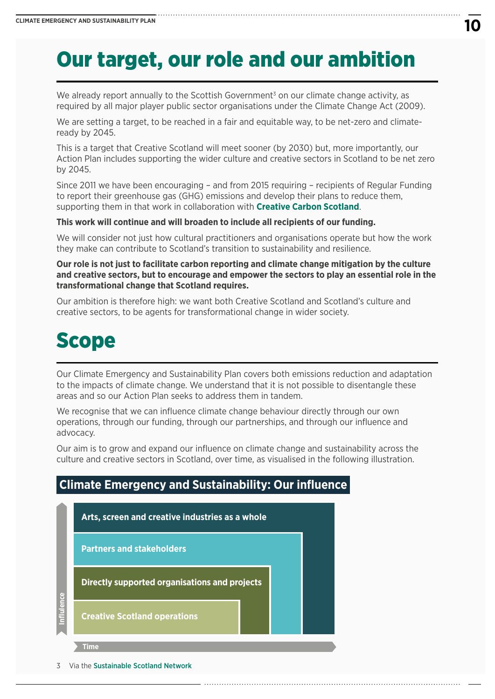# Our target, our role and our ambition

We already report annually to the Scottish Government<sup>3</sup> on our climate change activity, as required by all major player public sector organisations under the Climate Change Act (2009).

We are setting a target, to be reached in a fair and equitable way, to be net-zero and climateready by 2045.

This is a target that Creative Scotland will meet sooner (by 2030) but, more importantly, our Action Plan includes supporting the wider culture and creative sectors in Scotland to be net zero by 2045.

Since 2011 we have been encouraging – and from 2015 requiring – recipients of Regular Funding to report their greenhouse gas (GHG) emissions and develop their plans to reduce them, supporting them in that work in collaboration with **[Creative Carbon Scotland](https://www.creativecarbonscotland.com/)**.

#### **This work will continue and will broaden to include all recipients of our funding.**

We will consider not just how cultural practitioners and organisations operate but how the work they make can contribute to Scotland's transition to sustainability and resilience.

**Our role is not just to facilitate carbon reporting and climate change mitigation by the culture and creative sectors, but to encourage and empower the sectors to play an essential role in the transformational change that Scotland requires.**

Our ambition is therefore high: we want both Creative Scotland and Scotland's culture and creative sectors, to be agents for transformational change in wider society.

### Scope

Our Climate Emergency and Sustainability Plan covers both emissions reduction and adaptation to the impacts of climate change. We understand that it is not possible to disentangle these areas and so our Action Plan seeks to address them in tandem.

We recognise that we can influence climate change behaviour directly through our own operations, through our funding, through our partnerships, and through our influence and advocacy.

Our aim is to grow and expand our influence on climate change and sustainability across the culture and creative sectors in Scotland, over time, as visualised in the following illustration.

### **Climate Emergency and Sustainability: Our influence**



<sup>3</sup> Via the [Sustainable Scotland Network](https://sustainablescotlandnetwork.org/)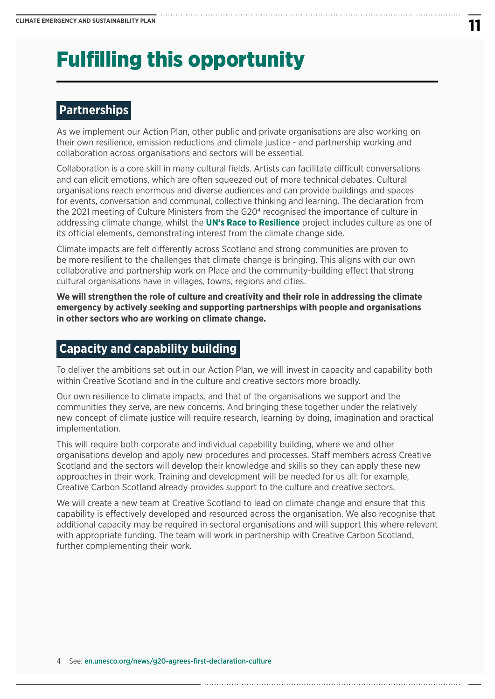# Fulfilling this opportunity

### **Partnerships**

As we implement our Action Plan, other public and private organisations are also working on their own resilience, emission reductions and climate justice - and partnership working and collaboration across organisations and sectors will be essential.

Collaboration is a core skill in many cultural fields. Artists can facilitate difficult conversations and can elicit emotions, which are often squeezed out of more technical debates. Cultural organisations reach enormous and diverse audiences and can provide buildings and spaces for events, conversation and communal, collective thinking and learning. The declaration from the 2021 meeting of Culture Ministers from the G20<sup>4</sup> recognised the importance of culture in addressing climate change, whilst the **[UN's Race to Resilience](https://climatechampions.unfccc.int/)** project includes culture as one of its official elements, demonstrating interest from the climate change side.

Climate impacts are felt differently across Scotland and strong communities are proven to be more resilient to the challenges that climate change is bringing. This aligns with our own collaborative and partnership work on Place and the community-building effect that strong cultural organisations have in villages, towns, regions and cities.

**We will strengthen the role of culture and creativity and their role in addressing the climate emergency by actively seeking and supporting partnerships with people and organisations in other sectors who are working on climate change.**

### **Capacity and capability building**

To deliver the ambitions set out in our Action Plan, we will invest in capacity and capability both within Creative Scotland and in the culture and creative sectors more broadly.

Our own resilience to climate impacts, and that of the organisations we support and the communities they serve, are new concerns. And bringing these together under the relatively new concept of climate justice will require research, learning by doing, imagination and practical implementation.

This will require both corporate and individual capability building, where we and other organisations develop and apply new procedures and processes. Staff members across Creative Scotland and the sectors will develop their knowledge and skills so they can apply these new approaches in their work. Training and development will be needed for us all: for example, Creative Carbon Scotland already provides support to the culture and creative sectors.

We will create a new team at Creative Scotland to lead on climate change and ensure that this capability is effectively developed and resourced across the organisation. We also recognise that additional capacity may be required in sectoral organisations and will support this where relevant with appropriate funding. The team will work in partnership with Creative Carbon Scotland, further complementing their work.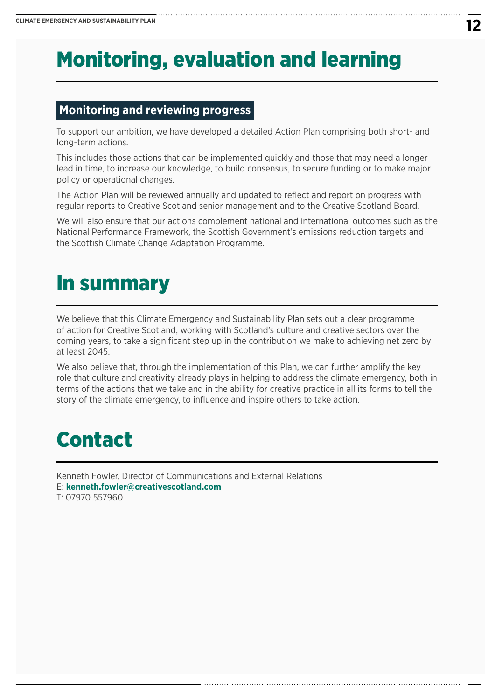# Monitoring, evaluation and learning

### **Monitoring and reviewing progress**

To support our ambition, we have developed a detailed Action Plan comprising both short- and long-term actions.

This includes those actions that can be implemented quickly and those that may need a longer lead in time, to increase our knowledge, to build consensus, to secure funding or to make major policy or operational changes.

The Action Plan will be reviewed annually and updated to reflect and report on progress with regular reports to Creative Scotland senior management and to the Creative Scotland Board.

We will also ensure that our actions complement national and international outcomes such as the National Performance Framework, the Scottish Government's emissions reduction targets and the Scottish Climate Change Adaptation Programme.

### In summary

We believe that this Climate Emergency and Sustainability Plan sets out a clear programme of action for Creative Scotland, working with Scotland's culture and creative sectors over the coming years, to take a significant step up in the contribution we make to achieving net zero by at least 2045.

We also believe that, through the implementation of this Plan, we can further amplify the key role that culture and creativity already plays in helping to address the climate emergency, both in terms of the actions that we take and in the ability for creative practice in all its forms to tell the story of the climate emergency, to influence and inspire others to take action.

# Contact

Kenneth Fowler, Director of Communications and External Relations E: **[kenneth.fowler@creativescotland.com](mailto:Kenneth.fowler@creativescotland.com)** T: 07970 557960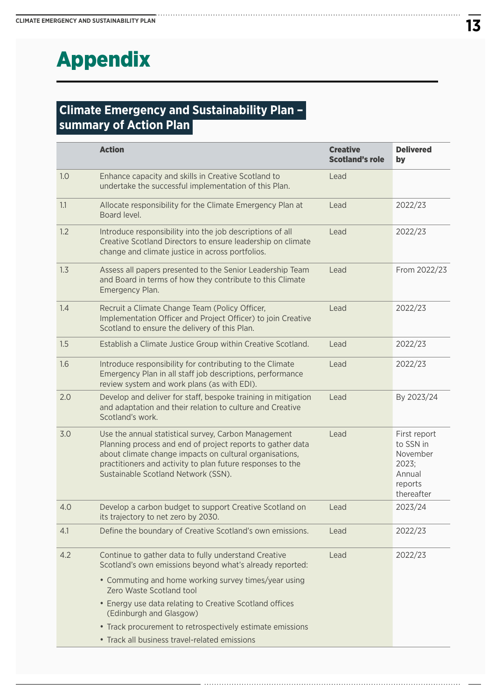# Appendix

### **Climate Emergency and Sustainability Plan – summary of Action Plan**

|     | <b>Action</b>                                                                                                                                                                                                                                                                      | <b>Creative</b><br><b>Scotland's role</b> | <b>Delivered</b><br>by                                                            |
|-----|------------------------------------------------------------------------------------------------------------------------------------------------------------------------------------------------------------------------------------------------------------------------------------|-------------------------------------------|-----------------------------------------------------------------------------------|
| 1.0 | Enhance capacity and skills in Creative Scotland to<br>undertake the successful implementation of this Plan.                                                                                                                                                                       | Lead                                      |                                                                                   |
| 1.1 | Allocate responsibility for the Climate Emergency Plan at<br>Board level.                                                                                                                                                                                                          | Lead                                      | 2022/23                                                                           |
| 1.2 | Introduce responsibility into the job descriptions of all<br>Creative Scotland Directors to ensure leadership on climate<br>change and climate justice in across portfolios.                                                                                                       | Lead                                      | 2022/23                                                                           |
| 1.3 | Assess all papers presented to the Senior Leadership Team<br>and Board in terms of how they contribute to this Climate<br>Emergency Plan.                                                                                                                                          | Lead                                      | From 2022/23                                                                      |
| 1.4 | Recruit a Climate Change Team (Policy Officer,<br>Implementation Officer and Project Officer) to join Creative<br>Scotland to ensure the delivery of this Plan.                                                                                                                    | Lead                                      | 2022/23                                                                           |
| 1.5 | Establish a Climate Justice Group within Creative Scotland.                                                                                                                                                                                                                        | Lead                                      | 2022/23                                                                           |
| 1.6 | Introduce responsibility for contributing to the Climate<br>Emergency Plan in all staff job descriptions, performance<br>review system and work plans (as with EDI).                                                                                                               | Lead                                      | 2022/23                                                                           |
| 2.0 | Develop and deliver for staff, bespoke training in mitigation<br>and adaptation and their relation to culture and Creative<br>Scotland's work.                                                                                                                                     | Lead                                      | By 2023/24                                                                        |
| 3.0 | Use the annual statistical survey, Carbon Management<br>Planning process and end of project reports to gather data<br>about climate change impacts on cultural organisations,<br>practitioners and activity to plan future responses to the<br>Sustainable Scotland Network (SSN). | Lead                                      | First report<br>to SSN in<br>November<br>2023;<br>Annual<br>reports<br>thereafter |
| 4.0 | Develop a carbon budget to support Creative Scotland on<br>its trajectory to net zero by 2030.                                                                                                                                                                                     | Lead                                      | 2023/24                                                                           |
| 4.1 | Define the boundary of Creative Scotland's own emissions.                                                                                                                                                                                                                          | Lead                                      | 2022/23                                                                           |
| 4.2 | Continue to gather data to fully understand Creative<br>Scotland's own emissions beyond what's already reported:                                                                                                                                                                   | Lead                                      | 2022/23                                                                           |
|     | • Commuting and home working survey times/year using<br>Zero Waste Scotland tool                                                                                                                                                                                                   |                                           |                                                                                   |
|     | • Energy use data relating to Creative Scotland offices<br>(Edinburgh and Glasgow)                                                                                                                                                                                                 |                                           |                                                                                   |
|     | • Track procurement to retrospectively estimate emissions                                                                                                                                                                                                                          |                                           |                                                                                   |
|     | • Track all business travel-related emissions                                                                                                                                                                                                                                      |                                           |                                                                                   |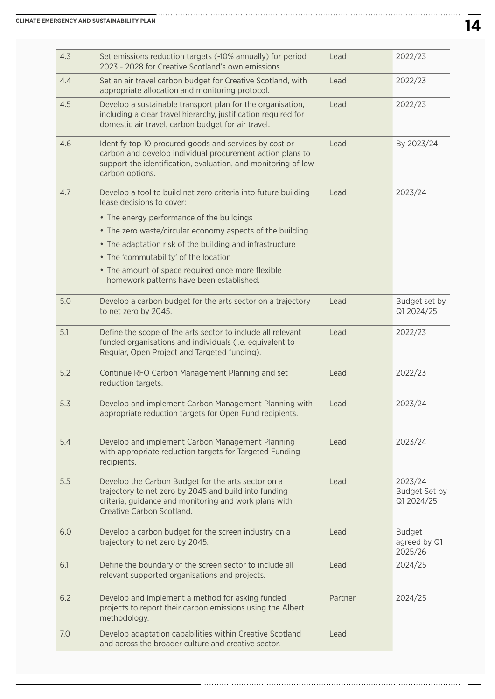| 4.3 | Set emissions reduction targets (-10% annually) for period<br>2023 - 2028 for Creative Scotland's own emissions.                                                                                        | Lead    | 2022/23                                  |
|-----|---------------------------------------------------------------------------------------------------------------------------------------------------------------------------------------------------------|---------|------------------------------------------|
| 4.4 | Set an air travel carbon budget for Creative Scotland, with<br>appropriate allocation and monitoring protocol.                                                                                          | Lead    | 2022/23                                  |
| 4.5 | Develop a sustainable transport plan for the organisation,<br>including a clear travel hierarchy, justification required for<br>domestic air travel, carbon budget for air travel.                      | Lead    | 2022/23                                  |
| 4.6 | Identify top 10 procured goods and services by cost or<br>carbon and develop individual procurement action plans to<br>support the identification, evaluation, and monitoring of low<br>carbon options. | Lead    | By 2023/24                               |
| 4.7 | Develop a tool to build net zero criteria into future building<br>lease decisions to cover:                                                                                                             | Lead    | 2023/24                                  |
|     | • The energy performance of the buildings                                                                                                                                                               |         |                                          |
|     | • The zero waste/circular economy aspects of the building                                                                                                                                               |         |                                          |
|     | • The adaptation risk of the building and infrastructure                                                                                                                                                |         |                                          |
|     | • The 'commutability' of the location                                                                                                                                                                   |         |                                          |
|     | • The amount of space required once more flexible<br>homework patterns have been established.                                                                                                           |         |                                          |
| 5.0 | Develop a carbon budget for the arts sector on a trajectory<br>to net zero by 2045.                                                                                                                     | Lead    | Budget set by<br>Q1 2024/25              |
| 5.1 | Define the scope of the arts sector to include all relevant<br>funded organisations and individuals (i.e. equivalent to<br>Regular, Open Project and Targeted funding).                                 | Lead    | 2022/23                                  |
| 5.2 | Continue RFO Carbon Management Planning and set<br>reduction targets.                                                                                                                                   | Lead    | 2022/23                                  |
| 5.3 | Develop and implement Carbon Management Planning with<br>appropriate reduction targets for Open Fund recipients.                                                                                        | Lead    | 2023/24                                  |
| 5.4 | Develop and implement Carbon Management Planning<br>with appropriate reduction targets for Targeted Funding<br>recipients.                                                                              | Lead    | 2023/24                                  |
| 5.5 | Develop the Carbon Budget for the arts sector on a<br>trajectory to net zero by 2045 and build into funding<br>criteria, guidance and monitoring and work plans with<br>Creative Carbon Scotland.       | Lead    | 2023/24<br>Budget Set by<br>Q1 2024/25   |
| 6.0 | Develop a carbon budget for the screen industry on a<br>trajectory to net zero by 2045.                                                                                                                 | Lead    | <b>Budget</b><br>agreed by Q1<br>2025/26 |
| 6.1 | Define the boundary of the screen sector to include all<br>relevant supported organisations and projects.                                                                                               | Lead    | 2024/25                                  |
| 6.2 | Develop and implement a method for asking funded<br>projects to report their carbon emissions using the Albert<br>methodology.                                                                          | Partner | 2024/25                                  |
| 7.0 | Develop adaptation capabilities within Creative Scotland<br>and across the broader culture and creative sector.                                                                                         | Lead    |                                          |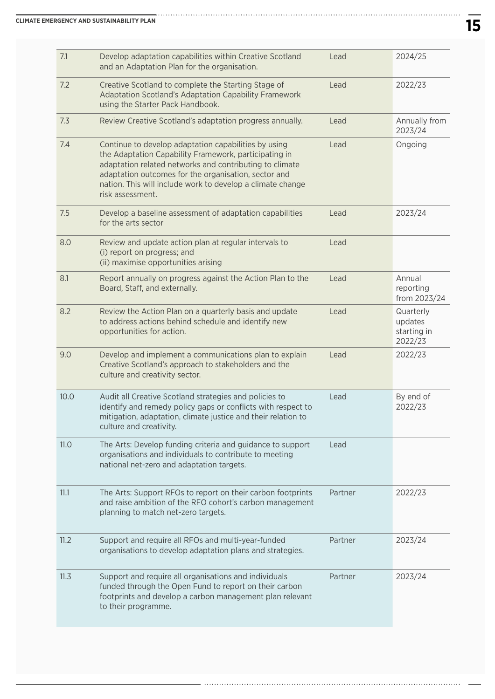| 7.1  | Develop adaptation capabilities within Creative Scotland<br>and an Adaptation Plan for the organisation.                                                                                                                                                                                                           | Lead    | 2024/25                                        |
|------|--------------------------------------------------------------------------------------------------------------------------------------------------------------------------------------------------------------------------------------------------------------------------------------------------------------------|---------|------------------------------------------------|
| 7.2  | Creative Scotland to complete the Starting Stage of<br>Adaptation Scotland's Adaptation Capability Framework<br>using the Starter Pack Handbook.                                                                                                                                                                   | Lead    | 2022/23                                        |
| 7.3  | Review Creative Scotland's adaptation progress annually.                                                                                                                                                                                                                                                           | Lead    | Annually from<br>2023/24                       |
| 7.4  | Continue to develop adaptation capabilities by using<br>the Adaptation Capability Framework, participating in<br>adaptation related networks and contributing to climate<br>adaptation outcomes for the organisation, sector and<br>nation. This will include work to develop a climate change<br>risk assessment. | Lead    | Ongoing                                        |
| 7.5  | Develop a baseline assessment of adaptation capabilities<br>for the arts sector                                                                                                                                                                                                                                    | Lead    | 2023/24                                        |
| 8.0  | Review and update action plan at regular intervals to<br>(i) report on progress; and<br>(ii) maximise opportunities arising                                                                                                                                                                                        | Lead    |                                                |
| 8.1  | Report annually on progress against the Action Plan to the<br>Board, Staff, and externally.                                                                                                                                                                                                                        | Lead    | Annual<br>reporting<br>from 2023/24            |
| 8.2  | Review the Action Plan on a quarterly basis and update<br>to address actions behind schedule and identify new<br>opportunities for action.                                                                                                                                                                         | Lead    | Quarterly<br>updates<br>starting in<br>2022/23 |
| 9.0  | Develop and implement a communications plan to explain<br>Creative Scotland's approach to stakeholders and the<br>culture and creativity sector.                                                                                                                                                                   | Lead    | 2022/23                                        |
| 10.0 | Audit all Creative Scotland strategies and policies to<br>identify and remedy policy gaps or conflicts with respect to<br>mitigation, adaptation, climate justice and their relation to<br>culture and creativity.                                                                                                 | Lead    | By end of<br>2022/23                           |
| 11.0 | The Arts: Develop funding criteria and guidance to support<br>organisations and individuals to contribute to meeting<br>national net-zero and adaptation targets.                                                                                                                                                  | Lead    |                                                |
| 11.1 | The Arts: Support RFOs to report on their carbon footprints<br>and raise ambition of the RFO cohort's carbon management<br>planning to match net-zero targets.                                                                                                                                                     | Partner | 2022/23                                        |
| 11.2 | Support and require all RFOs and multi-year-funded<br>organisations to develop adaptation plans and strategies.                                                                                                                                                                                                    | Partner | 2023/24                                        |
| 11.3 | Support and require all organisations and individuals<br>funded through the Open Fund to report on their carbon<br>footprints and develop a carbon management plan relevant<br>to their programme.                                                                                                                 | Partner | 2023/24                                        |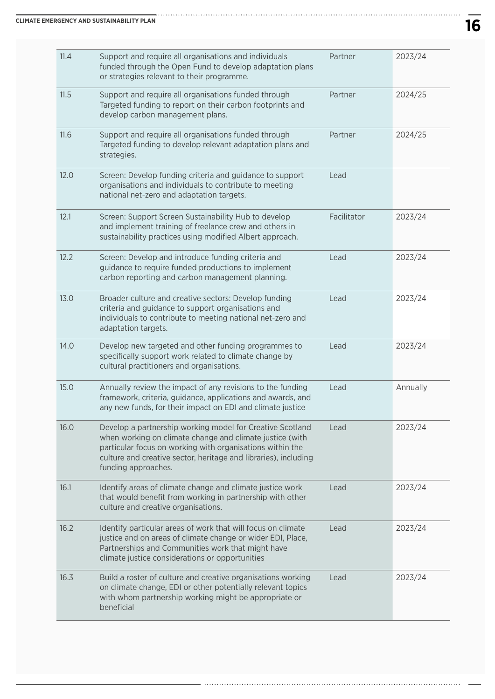| 11.4 | Support and require all organisations and individuals<br>funded through the Open Fund to develop adaptation plans<br>or strategies relevant to their programme.                                                                                                              | Partner     | 2023/24  |
|------|------------------------------------------------------------------------------------------------------------------------------------------------------------------------------------------------------------------------------------------------------------------------------|-------------|----------|
| 11.5 | Support and require all organisations funded through<br>Targeted funding to report on their carbon footprints and<br>develop carbon management plans.                                                                                                                        | Partner     | 2024/25  |
| 11.6 | Support and require all organisations funded through<br>Targeted funding to develop relevant adaptation plans and<br>strategies.                                                                                                                                             | Partner     | 2024/25  |
| 12.0 | Screen: Develop funding criteria and guidance to support<br>organisations and individuals to contribute to meeting<br>national net-zero and adaptation targets.                                                                                                              | Lead        |          |
| 12.1 | Screen: Support Screen Sustainability Hub to develop<br>and implement training of freelance crew and others in<br>sustainability practices using modified Albert approach.                                                                                                   | Facilitator | 2023/24  |
| 12.2 | Screen: Develop and introduce funding criteria and<br>guidance to require funded productions to implement<br>carbon reporting and carbon management planning.                                                                                                                | Lead        | 2023/24  |
| 13.0 | Broader culture and creative sectors: Develop funding<br>criteria and guidance to support organisations and<br>individuals to contribute to meeting national net-zero and<br>adaptation targets.                                                                             | Lead        | 2023/24  |
| 14.0 | Develop new targeted and other funding programmes to<br>specifically support work related to climate change by<br>cultural practitioners and organisations.                                                                                                                  | Lead        | 2023/24  |
| 15.0 | Annually review the impact of any revisions to the funding<br>framework, criteria, guidance, applications and awards, and<br>any new funds, for their impact on EDI and climate justice                                                                                      | Lead        | Annually |
| 16.0 | Develop a partnership working model for Creative Scotland<br>when working on climate change and climate justice (with<br>particular focus on working with organisations within the<br>culture and creative sector, heritage and libraries), including<br>funding approaches. | Lead        | 2023/24  |
| 16.1 | Identify areas of climate change and climate justice work<br>that would benefit from working in partnership with other<br>culture and creative organisations.                                                                                                                | Lead        | 2023/24  |
| 16.2 | Identify particular areas of work that will focus on climate<br>justice and on areas of climate change or wider EDI, Place,<br>Partnerships and Communities work that might have<br>climate justice considerations or opportunities                                          | Lead        | 2023/24  |
| 16.3 | Build a roster of culture and creative organisations working<br>on climate change, EDI or other potentially relevant topics<br>with whom partnership working might be appropriate or<br>beneficial                                                                           | Lead        | 2023/24  |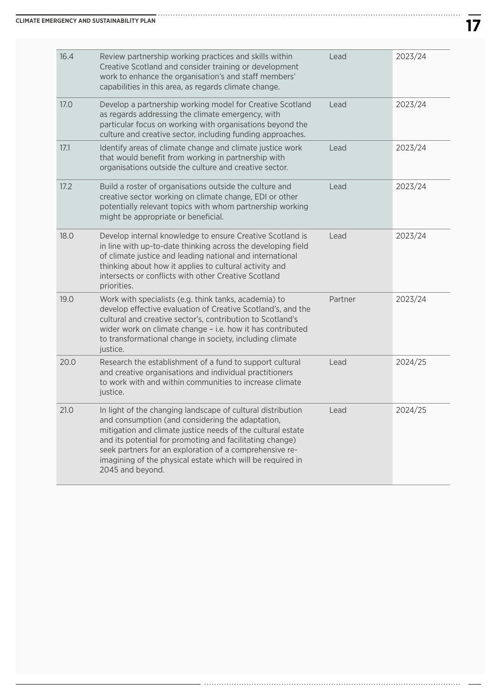| 16.4 | Review partnership working practices and skills within<br>Creative Scotland and consider training or development<br>work to enhance the organisation's and staff members'<br>capabilities in this area, as regards climate change.                                                                                                                                                      | Lead    | 2023/24 |
|------|-----------------------------------------------------------------------------------------------------------------------------------------------------------------------------------------------------------------------------------------------------------------------------------------------------------------------------------------------------------------------------------------|---------|---------|
| 17.0 | Develop a partnership working model for Creative Scotland<br>as regards addressing the climate emergency, with<br>particular focus on working with organisations beyond the<br>culture and creative sector, including funding approaches.                                                                                                                                               | Lead    | 2023/24 |
| 17.1 | Identify areas of climate change and climate justice work<br>that would benefit from working in partnership with<br>organisations outside the culture and creative sector.                                                                                                                                                                                                              | Lead    | 2023/24 |
| 17.2 | Build a roster of organisations outside the culture and<br>creative sector working on climate change, EDI or other<br>potentially relevant topics with whom partnership working<br>might be appropriate or beneficial.                                                                                                                                                                  | Lead    | 2023/24 |
| 18.0 | Develop internal knowledge to ensure Creative Scotland is<br>in line with up-to-date thinking across the developing field<br>of climate justice and leading national and international<br>thinking about how it applies to cultural activity and<br>intersects or conflicts with other Creative Scotland<br>priorities.                                                                 | Lead    | 2023/24 |
| 19.0 | Work with specialists (e.g. think tanks, academia) to<br>develop effective evaluation of Creative Scotland's, and the<br>cultural and creative sector's, contribution to Scotland's<br>wider work on climate change - i.e. how it has contributed<br>to transformational change in society, including climate<br>justice.                                                               | Partner | 2023/24 |
| 20.0 | Research the establishment of a fund to support cultural<br>and creative organisations and individual practitioners<br>to work with and within communities to increase climate<br>justice.                                                                                                                                                                                              | Lead    | 2024/25 |
| 21.0 | In light of the changing landscape of cultural distribution<br>and consumption (and considering the adaptation,<br>mitigation and climate justice needs of the cultural estate<br>and its potential for promoting and facilitating change)<br>seek partners for an exploration of a comprehensive re-<br>imagining of the physical estate which will be required in<br>2045 and beyond. | Lead    | 2024/25 |